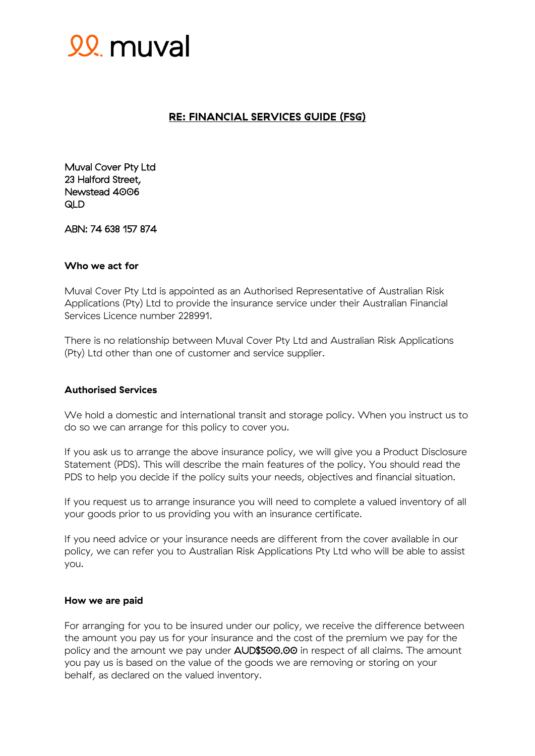

# **RE: FINANCIAL SERVICES GUIDE (FSG)**

Muval Cover Pty Ltd 23 Halford Street, Newstead 4006 QLD

ABN: 74 638 157 874

# **Who we act for**

Muval Cover Pty Ltd is appointed as an Authorised Representative of Australian Risk Applications (Pty) Ltd to provide the insurance service under their Australian Financial Services Licence number 228991.

There is no relationship between Muval Cover Pty Ltd and Australian Risk Applications (Pty) Ltd other than one of customer and service supplier.

### **Authorised Services**

We hold a domestic and international transit and storage policy. When you instruct us to do so we can arrange for this policy to cover you.

If you ask us to arrange the above insurance policy, we will give you a Product Disclosure Statement (PDS). This will describe the main features of the policy. You should read the PDS to help you decide if the policy suits your needs, objectives and financial situation.

If you request us to arrange insurance you will need to complete a valued inventory of all your goods prior to us providing you with an insurance certificate.

If you need advice or your insurance needs are different from the cover available in our policy, we can refer you to Australian Risk Applications Pty Ltd who will be able to assist you.

### **How we are paid**

For arranging for you to be insured under our policy, we receive the difference between the amount you pay us for your insurance and the cost of the premium we pay for the policy and the amount we pay under AUD\$500.00 in respect of all claims. The amount you pay us is based on the value of the goods we are removing or storing on your behalf, as declared on the valued inventory.